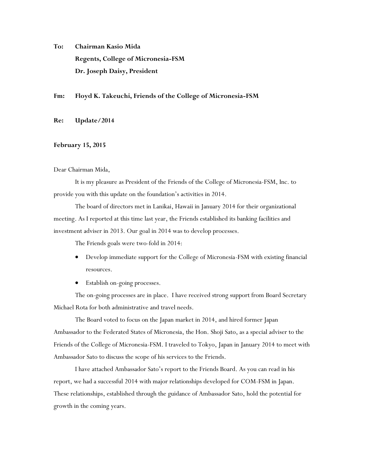**To: Chairman Kasio Mida Regents, College of Micronesia-FSM Dr. Joseph Daisy, President**

## **Fm: Floyd K. Takeuchi, Friends of the College of Micronesia-FSM**

**Re: Update/2014**

## **February 15, 2015**

## Dear Chairman Mida,

It is my pleasure as President of the Friends of the College of Micronesia-FSM, Inc. to provide you with this update on the foundation's activities in 2014.

The board of directors met in Lanikai, Hawaii in January 2014 for their organizational meeting. As I reported at this time last year, the Friends established its banking facilities and investment adviser in 2013. Our goal in 2014 was to develop processes.

The Friends goals were two-fold in 2014:

- Develop immediate support for the College of Micronesia-FSM with existing financial resources.
- Establish on-going processes.

The on-going processes are in place. I have received strong support from Board Secretary Michael Rota for both administrative and travel needs.

The Board voted to focus on the Japan market in 2014, and hired former Japan Ambassador to the Federated States of Micronesia, the Hon. Shoji Sato, as a special adviser to the Friends of the College of Micronesia-FSM. I traveled to Tokyo, Japan in January 2014 to meet with Ambassador Sato to discuss the scope of his services to the Friends.

I have attached Ambassador Sato's report to the Friends Board. As you can read in his report, we had a successful 2014 with major relationships developed for COM-FSM in Japan. These relationships, established through the guidance of Ambassador Sato, hold the potential for growth in the coming years.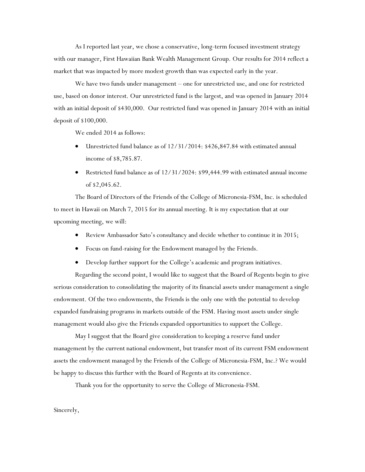As I reported last year, we chose a conservative, long-term focused investment strategy with our manager, First Hawaiian Bank Wealth Management Group. Our results for 2014 reflect a market that was impacted by more modest growth than was expected early in the year.

We have two funds under management – one for unrestricted use, and one for restricted use, based on donor interest. Our unrestricted fund is the largest, and was opened in January 2014 with an initial deposit of \$430,000. Our restricted fund was opened in January 2014 with an initial deposit of \$100,000.

We ended 2014 as follows:

- Unrestricted fund balance as of 12/31/2014: \$426,847.84 with estimated annual income of \$8,785.87.
- Restricted fund balance as of 12/31/2024: \$99,444.99 with estimated annual income of \$2,045.62.

The Board of Directors of the Friends of the College of Micronesia-FSM, Inc. is scheduled to meet in Hawaii on March 7, 2015 for its annual meeting. It is my expectation that at our upcoming meeting, we will:

- Review Ambassador Sato's consultancy and decide whether to continue it in 2015;
- Focus on fund-raising for the Endowment managed by the Friends.
- Develop further support for the College's academic and program initiatives.

Regarding the second point, I would like to suggest that the Board of Regents begin to give serious consideration to consolidating the majority of its financial assets under management a single endowment. Of the two endowments, the Friends is the only one with the potential to develop expanded fundraising programs in markets outside of the FSM. Having most assets under single management would also give the Friends expanded opportunities to support the College.

May I suggest that the Board give consideration to keeping a reserve fund under management by the current national endowment, but transfer most of its current FSM endowment assets the endowment managed by the Friends of the College of Micronesia-FSM, Inc.? We would be happy to discuss this further with the Board of Regents at its convenience.

Thank you for the opportunity to serve the College of Micronesia-FSM.

Sincerely,